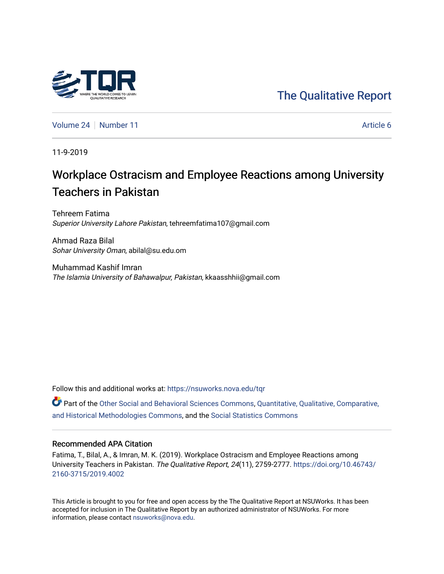# [The Qualitative Report](https://nsuworks.nova.edu/tqr)

[Volume 24](https://nsuworks.nova.edu/tqr/vol24) [Number 11](https://nsuworks.nova.edu/tqr/vol24/iss11) Article 6

11-9-2019

# Workplace Ostracism and Employee Reactions among University Teachers in Pakistan

Tehreem Fatima Superior University Lahore Pakistan, tehreemfatima107@gmail.com

Ahmad Raza Bilal Sohar University Oman, abilal@su.edu.om

Muhammad Kashif Imran The Islamia University of Bahawalpur, Pakistan, kkaasshhii@gmail.com

Follow this and additional works at: [https://nsuworks.nova.edu/tqr](https://nsuworks.nova.edu/tqr?utm_source=nsuworks.nova.edu%2Ftqr%2Fvol24%2Fiss11%2F6&utm_medium=PDF&utm_campaign=PDFCoverPages) 

**P** Part of the [Other Social and Behavioral Sciences Commons](http://network.bepress.com/hgg/discipline/437?utm_source=nsuworks.nova.edu%2Ftqr%2Fvol24%2Fiss11%2F6&utm_medium=PDF&utm_campaign=PDFCoverPages), Quantitative, Qualitative, Comparative, [and Historical Methodologies Commons](http://network.bepress.com/hgg/discipline/423?utm_source=nsuworks.nova.edu%2Ftqr%2Fvol24%2Fiss11%2F6&utm_medium=PDF&utm_campaign=PDFCoverPages), and the [Social Statistics Commons](http://network.bepress.com/hgg/discipline/1275?utm_source=nsuworks.nova.edu%2Ftqr%2Fvol24%2Fiss11%2F6&utm_medium=PDF&utm_campaign=PDFCoverPages) 

#### Recommended APA Citation

Fatima, T., Bilal, A., & Imran, M. K. (2019). Workplace Ostracism and Employee Reactions among University Teachers in Pakistan. The Qualitative Report, 24(11), 2759-2777. [https://doi.org/10.46743/](https://doi.org/10.46743/2160-3715/2019.4002) [2160-3715/2019.4002](https://doi.org/10.46743/2160-3715/2019.4002)

This Article is brought to you for free and open access by the The Qualitative Report at NSUWorks. It has been accepted for inclusion in The Qualitative Report by an authorized administrator of NSUWorks. For more information, please contact [nsuworks@nova.edu.](mailto:nsuworks@nova.edu)

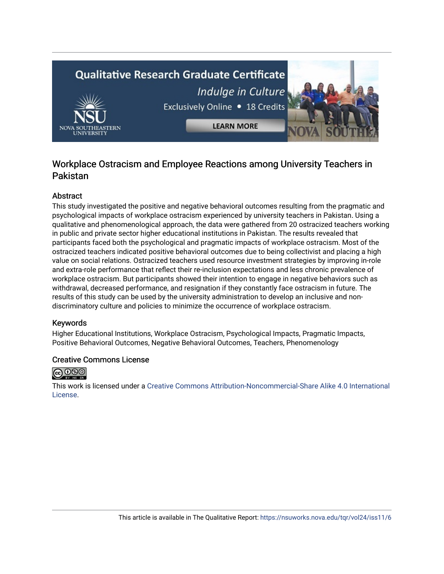# **Qualitative Research Graduate Certificate** Indulge in Culture



Exclusively Online . 18 Credits

**LEARN MORE** 

## Workplace Ostracism and Employee Reactions among University Teachers in Pakistan

## Abstract

This study investigated the positive and negative behavioral outcomes resulting from the pragmatic and psychological impacts of workplace ostracism experienced by university teachers in Pakistan. Using a qualitative and phenomenological approach, the data were gathered from 20 ostracized teachers working in public and private sector higher educational institutions in Pakistan. The results revealed that participants faced both the psychological and pragmatic impacts of workplace ostracism. Most of the ostracized teachers indicated positive behavioral outcomes due to being collectivist and placing a high value on social relations. Ostracized teachers used resource investment strategies by improving in-role and extra-role performance that reflect their re-inclusion expectations and less chronic prevalence of workplace ostracism. But participants showed their intention to engage in negative behaviors such as withdrawal, decreased performance, and resignation if they constantly face ostracism in future. The results of this study can be used by the university administration to develop an inclusive and nondiscriminatory culture and policies to minimize the occurrence of workplace ostracism.

## Keywords

Higher Educational Institutions, Workplace Ostracism, Psychological Impacts, Pragmatic Impacts, Positive Behavioral Outcomes, Negative Behavioral Outcomes, Teachers, Phenomenology

## Creative Commons License



This work is licensed under a [Creative Commons Attribution-Noncommercial-Share Alike 4.0 International](https://creativecommons.org/licenses/by-nc-sa/4.0/)  [License](https://creativecommons.org/licenses/by-nc-sa/4.0/).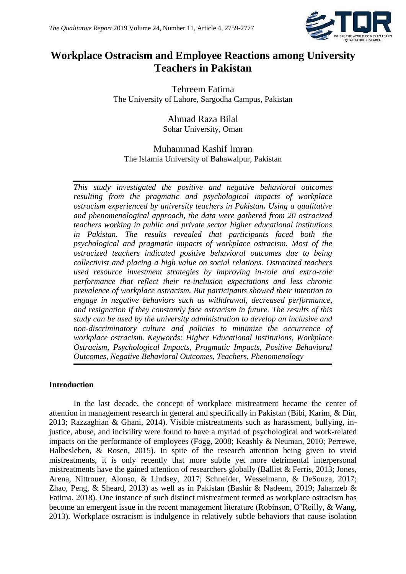

## **Workplace Ostracism and Employee Reactions among University Teachers in Pakistan**

Tehreem Fatima The University of Lahore, Sargodha Campus, Pakistan

> Ahmad Raza Bilal Sohar University, Oman

## Muhammad Kashif Imran The Islamia University of Bahawalpur, Pakistan

*This study investigated the positive and negative behavioral outcomes resulting from the pragmatic and psychological impacts of workplace ostracism experienced by university teachers in Pakistan. Using a qualitative and phenomenological approach, the data were gathered from 20 ostracized teachers working in public and private sector higher educational institutions in Pakistan. The results revealed that participants faced both the psychological and pragmatic impacts of workplace ostracism. Most of the ostracized teachers indicated positive behavioral outcomes due to being collectivist and placing a high value on social relations. Ostracized teachers used resource investment strategies by improving in-role and extra-role performance that reflect their re-inclusion expectations and less chronic prevalence of workplace ostracism. But participants showed their intention to engage in negative behaviors such as withdrawal, decreased performance, and resignation if they constantly face ostracism in future. The results of this study can be used by the university administration to develop an inclusive and non-discriminatory culture and policies to minimize the occurrence of workplace ostracism. Keywords: Higher Educational Institutions, Workplace Ostracism, Psychological Impacts, Pragmatic Impacts, Positive Behavioral Outcomes, Negative Behavioral Outcomes, Teachers, Phenomenology*

## **Introduction**

In the last decade, the concept of workplace mistreatment became the center of attention in management research in general and specifically in Pakistan (Bibi, Karim, & Din, 2013; Razzaghian & Ghani, 2014). Visible mistreatments such as harassment, bullying, injustice, abuse, and incivility were found to have a myriad of psychological and work-related impacts on the performance of employees (Fogg, 2008; Keashly & Neuman, 2010; Perrewe, Halbesleben, & Rosen, 2015). In spite of the research attention being given to vivid mistreatments, it is only recently that more subtle yet more detrimental interpersonal mistreatments have the gained attention of researchers globally (Balliet & Ferris, 2013; Jones, Arena, Nittrouer, Alonso, & Lindsey, 2017; Schneider, Wesselmann, & DeSouza, 2017; Zhao, Peng, & Sheard, 2013) as well as in Pakistan (Bashir & Nadeem, 2019; Jahanzeb & Fatima, 2018). One instance of such distinct mistreatment termed as workplace ostracism has become an emergent issue in the recent management literature (Robinson, O'Reilly, & Wang, 2013). Workplace ostracism is indulgence in relatively subtle behaviors that cause isolation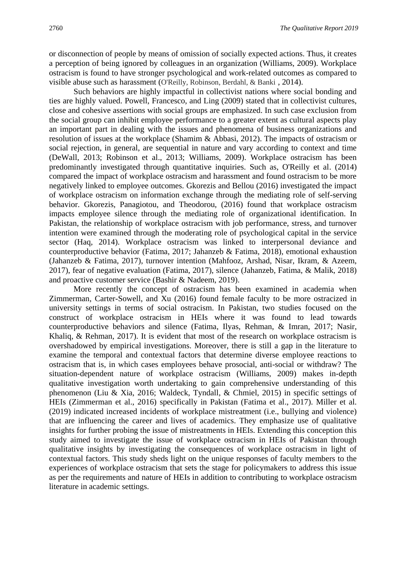or disconnection of people by means of omission of socially expected actions. Thus, it creates a perception of being ignored by colleagues in an organization (Williams, 2009). Workplace ostracism is found to have stronger psychological and work-related outcomes as compared to visible abuse such as harassment (O'Reilly, Robinson, Berdahl, & Banki , 2014).

Such behaviors are highly impactful in collectivist nations where social bonding and ties are highly valued. Powell, Francesco, and Ling (2009) stated that in collectivist cultures, close and cohesive assertions with social groups are emphasized. In such case exclusion from the social group can inhibit employee performance to a greater extent as cultural aspects play an important part in dealing with the issues and phenomena of business organizations and resolution of issues at the workplace (Shamim & Abbasi, 2012). The impacts of ostracism or social rejection, in general, are sequential in nature and vary according to context and time (DeWall, 2013; Robinson et al., 2013; Williams, 2009). Workplace ostracism has been predominantly investigated through quantitative inquiries. Such as, O'Reilly et al. (2014) compared the impact of workplace ostracism and harassment and found ostracism to be more negatively linked to employee outcomes. Gkorezis and Bellou (2016) investigated the impact of workplace ostracism on information exchange through the mediating role of self-serving behavior. Gkorezis, Panagiotou, and Theodorou, (2016) found that workplace ostracism impacts employee silence through the mediating role of organizational identification. In Pakistan, the relationship of workplace ostracism with job performance, stress, and turnover intention were examined through the moderating role of psychological capital in the service sector (Haq, 2014). Workplace ostracism was linked to interpersonal deviance and counterproductive behavior (Fatima, 2017; Jahanzeb & Fatima, 2018), emotional exhaustion (Jahanzeb & Fatima, 2017), turnover intention (Mahfooz, Arshad, Nisar, Ikram, & Azeem, 2017), fear of negative evaluation (Fatima, 2017), silence (Jahanzeb, Fatima, & Malik, 2018) and proactive customer service (Bashir & Nadeem, 2019).

More recently the concept of ostracism has been examined in academia when Zimmerman, Carter-Sowell, and Xu (2016) found female faculty to be more ostracized in university settings in terms of social ostracism. In Pakistan, two studies focused on the construct of workplace ostracism in HEIs where it was found to lead towards counterproductive behaviors and silence (Fatima, Ilyas, Rehman, & Imran, 2017; Nasir, Khaliq, & Rehman, 2017). It is evident that most of the research on workplace ostracism is overshadowed by empirical investigations. Moreover, there is still a gap in the literature to examine the temporal and contextual factors that determine diverse employee reactions to ostracism that is, in which cases employees behave prosocial, anti-social or withdraw? The situation-dependent nature of workplace ostracism (Williams, 2009) makes in-depth qualitative investigation worth undertaking to gain comprehensive understanding of this phenomenon (Liu & Xia, 2016; Waldeck, Tyndall, & Chmiel, 2015) in specific settings of HEIs (Zimmerman et al., 2016) specifically in Pakistan (Fatima et al., 2017). Miller et al. (2019) indicated increased incidents of workplace mistreatment (i.e., bullying and violence) that are influencing the career and lives of academics. They emphasize use of qualitative insights for further probing the issue of mistreatments in HEIs. Extending this conception this study aimed to investigate the issue of workplace ostracism in HEIs of Pakistan through qualitative insights by investigating the consequences of workplace ostracism in light of contextual factors. This study sheds light on the unique responses of faculty members to the experiences of workplace ostracism that sets the stage for policymakers to address this issue as per the requirements and nature of HEIs in addition to contributing to workplace ostracism literature in academic settings.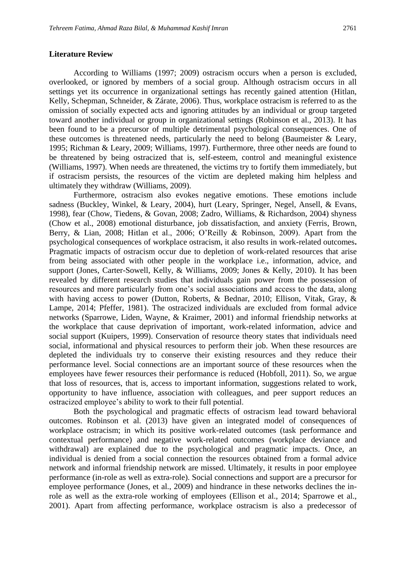#### **Literature Review**

According to Williams (1997; 2009) ostracism occurs when a person is excluded, overlooked, or ignored by members of a social group. Although ostracism occurs in all settings yet its occurrence in organizational settings has recently gained attention (Hitlan, Kelly, Schepman, Schneider, & Zárate, 2006). Thus, workplace ostracism is referred to as the omission of socially expected acts and ignoring attitudes by an individual or group targeted toward another individual or group in organizational settings (Robinson et al., 2013). It has been found to be a precursor of multiple detrimental psychological consequences. One of these outcomes is threatened needs, particularly the need to belong (Baumeister  $\&$  Leary, 1995; Richman & Leary, 2009; Williams, 1997). Furthermore, three other needs are found to be threatened by being ostracized that is, self-esteem, control and meaningful existence (Williams, 1997). When needs are threatened, the victims try to fortify them immediately, but if ostracism persists, the resources of the victim are depleted making him helpless and ultimately they withdraw (Williams, 2009).

Furthermore, ostracism also evokes negative emotions. These emotions include sadness (Buckley, Winkel, & Leary, 2004), hurt (Leary, Springer, Negel, Ansell, & Evans, 1998), fear (Chow, Tiedens, & Govan, 2008; Zadro, Williams, & Richardson, 2004) shyness (Chow et al., 2008) emotional disturbance, job dissatisfaction, and anxiety (Ferris, Brown, Berry, & Lian, 2008; Hitlan et al., 2006; O'Reilly & Robinson, 2009). Apart from the psychological consequences of workplace ostracism, it also results in work-related outcomes**.**  Pragmatic impacts of ostracism occur due to depletion of work-related resources that arise from being associated with other people in the workplace i.e., information, advice, and support (Jones, Carter-Sowell, Kelly, & Williams, 2009; Jones & Kelly, 2010). It has been revealed by different research studies that individuals gain power from the possession of resources and more particularly from one's social associations and access to the data, along with having access to power (Dutton, Roberts, & Bednar, 2010; Ellison, Vitak, Gray, & Lampe, 2014; Pfeffer, 1981). The ostracized individuals are excluded from formal advice networks (Sparrowe, Liden, Wayne, & Kraimer, 2001) and informal friendship networks at the workplace that cause deprivation of important, work-related information, advice and social support (Kuipers, 1999). Conservation of resource theory states that individuals need social, informational and physical resources to perform their job. When these resources are depleted the individuals try to conserve their existing resources and they reduce their performance level. Social connections are an important source of these resources when the employees have fewer resources their performance is reduced (Hobfoll, 2011). So, we argue that loss of resources, that is, access to important information, suggestions related to work, opportunity to have influence, association with colleagues, and peer support reduces an ostracized employee's ability to work to their full potential.

Both the psychological and pragmatic effects of ostracism lead toward behavioral outcomes. Robinson et al. (2013) have given an integrated model of consequences of workplace ostracism; in which its positive work-related outcomes (task performance and contextual performance) and negative work-related outcomes (workplace deviance and withdrawal) are explained due to the psychological and pragmatic impacts. Once, an individual is denied from a social connection the resources obtained from a formal advice network and informal friendship network are missed. Ultimately, it results in poor employee performance (in-role as well as extra-role). Social connections and support are a precursor for employee performance (Jones, et al., 2009) and hindrance in these networks declines the inrole as well as the extra-role working of employees (Ellison et al., 2014; Sparrowe et al., 2001). Apart from affecting performance, workplace ostracism is also a predecessor of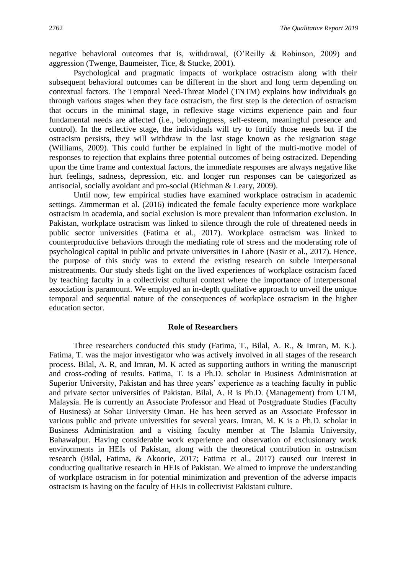negative behavioral outcomes that is, withdrawal, (O'Reilly & Robinson, 2009) and aggression (Twenge, Baumeister, Tice, & Stucke, 2001).

Psychological and pragmatic impacts of workplace ostracism along with their subsequent behavioral outcomes can be different in the short and long term depending on contextual factors. The Temporal Need-Threat Model (TNTM) explains how individuals go through various stages when they face ostracism, the first step is the detection of ostracism that occurs in the minimal stage, in reflexive stage victims experience pain and four fundamental needs are affected (i.e., belongingness, self-esteem, meaningful presence and control). In the reflective stage, the individuals will try to fortify those needs but if the ostracism persists, they will withdraw in the last stage known as the resignation stage (Williams, 2009). This could further be explained in light of the multi-motive model of responses to rejection that explains three potential outcomes of being ostracized. Depending upon the time frame and contextual factors, the immediate responses are always negative like hurt feelings, sadness, depression, etc. and longer run responses can be categorized as antisocial, socially avoidant and pro-social (Richman & Leary, 2009).

Until now, few empirical studies have examined workplace ostracism in academic settings. Zimmerman et al. (2016) indicated the female faculty experience more workplace ostracism in academia, and social exclusion is more prevalent than information exclusion. In Pakistan, workplace ostracism was linked to silence through the role of threatened needs in public sector universities (Fatima et al*.,* 2017). Workplace ostracism was linked to counterproductive behaviors through the mediating role of stress and the moderating role of psychological capital in public and private universities in Lahore (Nasir et al., 2017). Hence, the purpose of this study was to extend the existing research on subtle interpersonal mistreatments. Our study sheds light on the lived experiences of workplace ostracism faced by teaching faculty in a collectivist cultural context where the importance of interpersonal association is paramount. We employed an in-depth qualitative approach to unveil the unique temporal and sequential nature of the consequences of workplace ostracism in the higher education sector.

#### **Role of Researchers**

Three researchers conducted this study (Fatima, T., Bilal, A. R., & Imran, M. K.). Fatima, T. was the major investigator who was actively involved in all stages of the research process. Bilal, A. R, and Imran, M. K acted as supporting authors in writing the manuscript and cross-coding of results. Fatima, T. is a Ph.D. scholar in Business Administration at Superior University, Pakistan and has three years' experience as a teaching faculty in public and private sector universities of Pakistan. Bilal, A. R is Ph.D. (Management) from UTM, Malaysia. He is currently an Associate Professor and Head of Postgraduate Studies (Faculty of Business) at Sohar University Oman. He has been served as an Associate Professor in various public and private universities for several years. Imran, M. K is a Ph.D. scholar in Business Administration and a visiting faculty member at The Islamia University, Bahawalpur. Having considerable work experience and observation of exclusionary work environments in HEIs of Pakistan, along with the theoretical contribution in ostracism research (Bilal, Fatima, & Akoorie, 2017; Fatima et al., 2017) caused our interest in conducting qualitative research in HEIs of Pakistan. We aimed to improve the understanding of workplace ostracism in for potential minimization and prevention of the adverse impacts ostracism is having on the faculty of HEIs in collectivist Pakistani culture.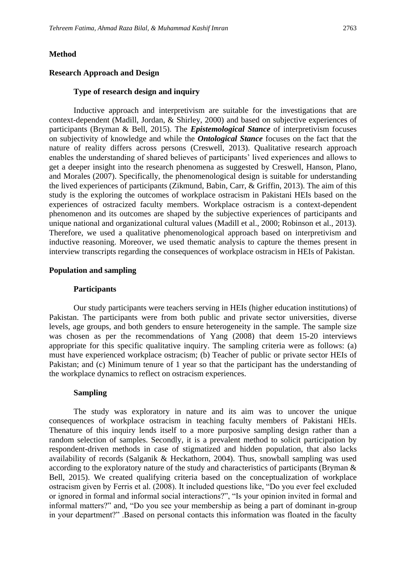#### **Method**

#### **Research Approach and Design**

#### **Type of research design and inquiry**

Inductive approach and interpretivism are suitable for the investigations that are context-dependent (Madill, Jordan, & Shirley, 2000) and based on subjective experiences of participants (Bryman & Bell, 2015). The *Epistemological Stance* of interpretivism focuses on subjectivity of knowledge and while the *Ontological Stance* focuses on the fact that the nature of reality differs across persons (Creswell, 2013). Qualitative research approach enables the understanding of shared believes of participants' lived experiences and allows to get a deeper insight into the research phenomena as suggested by Creswell, Hanson, Plano, and Morales (2007). Specifically, the phenomenological design is suitable for understanding the lived experiences of participants (Zikmund, Babin, Carr, & Griffin, 2013). The aim of this study is the exploring the outcomes of workplace ostracism in Pakistani HEIs based on the experiences of ostracized faculty members. Workplace ostracism is a context-dependent phenomenon and its outcomes are shaped by the subjective experiences of participants and unique national and organizational cultural values (Madill et al., 2000; Robinson et al., 2013). Therefore, we used a qualitative phenomenological approach based on interpretivism and inductive reasoning. Moreover, we used thematic analysis to capture the themes present in interview transcripts regarding the consequences of workplace ostracism in HEIs of Pakistan.

#### **Population and sampling**

#### **Participants**

Our study participants were teachers serving in HEIs (higher education institutions) of Pakistan. The participants were from both public and private sector universities, diverse levels, age groups, and both genders to ensure heterogeneity in the sample. The sample size was chosen as per the recommendations of Yang (2008) that deem 15-20 interviews appropriate for this specific qualitative inquiry. The sampling criteria were as follows: (a) must have experienced workplace ostracism; (b) Teacher of public or private sector HEIs of Pakistan; and (c) Minimum tenure of 1 year so that the participant has the understanding of the workplace dynamics to reflect on ostracism experiences.

#### **Sampling**

The study was exploratory in nature and its aim was to uncover the unique consequences of workplace ostracism in teaching faculty members of Pakistani HEIs. Thenature of this inquiry lends itself to a more purposive sampling design rather than a random selection of samples. Secondly, it is a prevalent method to solicit participation by respondent-driven methods in case of stigmatized and hidden population, that also lacks availability of records (Salganik & Heckathorn, 2004). Thus, snowball sampling was used according to the exploratory nature of the study and characteristics of participants (Bryman & Bell, 2015). We created qualifying criteria based on the conceptualization of workplace ostracism given by Ferris et al. (2008). It included questions like, "Do you ever feel excluded or ignored in formal and informal social interactions?", "Is your opinion invited in formal and informal matters?" and, "Do you see your membership as being a part of dominant in-group in your department?" .Based on personal contacts this information was floated in the faculty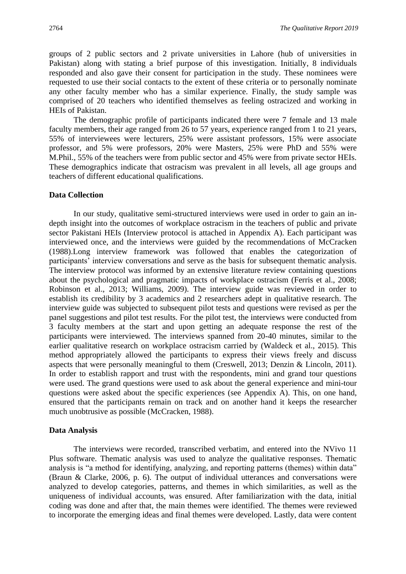groups of 2 public sectors and 2 private universities in Lahore (hub of universities in Pakistan) along with stating a brief purpose of this investigation. Initially, 8 individuals responded and also gave their consent for participation in the study. These nominees were requested to use their social contacts to the extent of these criteria or to personally nominate any other faculty member who has a similar experience. Finally, the study sample was comprised of 20 teachers who identified themselves as feeling ostracized and working in HEIs of Pakistan.

The demographic profile of participants indicated there were 7 female and 13 male faculty members, their age ranged from 26 to 57 years, experience ranged from 1 to 21 years, 55% of interviewees were lecturers, 25% were assistant professors, 15% were associate professor, and 5% were professors, 20% were Masters, 25% were PhD and 55% were M.Phil., 55% of the teachers were from public sector and 45% were from private sector HEIs. These demographics indicate that ostracism was prevalent in all levels, all age groups and teachers of different educational qualifications.

#### **Data Collection**

In our study, qualitative semi-structured interviews were used in order to gain an indepth insight into the outcomes of workplace ostracism in the teachers of public and private sector Pakistani HEIs (Interview protocol is attached in Appendix A). Each participant was interviewed once, and the interviews were guided by the recommendations of McCracken (1988).Long interview framework was followed that enables the categorization of participants' interview conversations and serve as the basis for subsequent thematic analysis. The interview protocol was informed by an extensive literature review containing questions about the psychological and pragmatic impacts of workplace ostracism (Ferris et al., 2008; Robinson et al., 2013; Williams, 2009). The interview guide was reviewed in order to establish its credibility by 3 academics and 2 researchers adept in qualitative research. The interview guide was subjected to subsequent pilot tests and questions were revised as per the panel suggestions and pilot test results. For the pilot test, the interviews were conducted from 3 faculty members at the start and upon getting an adequate response the rest of the participants were interviewed. The interviews spanned from 20-40 minutes, similar to the earlier qualitative research on workplace ostracism carried by (Waldeck et al., 2015). This method appropriately allowed the participants to express their views freely and discuss aspects that were personally meaningful to them (Creswell, 2013; Denzin & Lincoln, 2011). In order to establish rapport and trust with the respondents, mini and grand tour questions were used. The grand questions were used to ask about the general experience and mini-tour questions were asked about the specific experiences (see Appendix A). This, on one hand, ensured that the participants remain on track and on another hand it keeps the researcher much unobtrusive as possible (McCracken, 1988).

#### **Data Analysis**

The interviews were recorded, transcribed verbatim, and entered into the NVivo 11 Plus software. Thematic analysis was used to analyze the qualitative responses. Thematic analysis is "a method for identifying, analyzing, and reporting patterns (themes) within data" (Braun & Clarke, 2006, p. 6). The output of individual utterances and conversations were analyzed to develop categories, patterns, and themes in which similarities, as well as the uniqueness of individual accounts, was ensured. After familiarization with the data, initial coding was done and after that, the main themes were identified. The themes were reviewed to incorporate the emerging ideas and final themes were developed. Lastly, data were content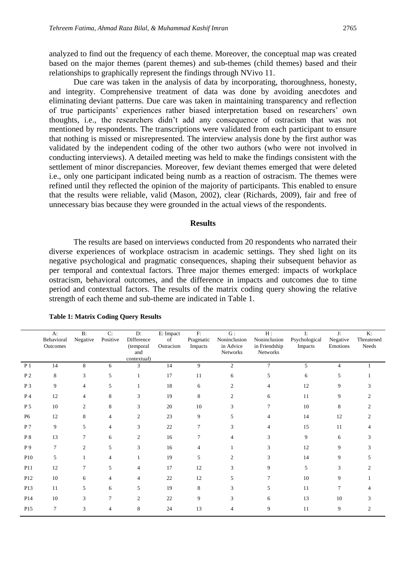analyzed to find out the frequency of each theme. Moreover, the conceptual map was created based on the major themes (parent themes) and sub-themes (child themes) based and their relationships to graphically represent the findings through NVivo 11.

Due care was taken in the analysis of data by incorporating, thoroughness, honesty, and integrity. Comprehensive treatment of data was done by avoiding anecdotes and eliminating deviant patterns. Due care was taken in maintaining transparency and reflection of true participants' experiences rather biased interpretation based on researchers' own thoughts, i.e., the researchers didn't add any consequence of ostracism that was not mentioned by respondents. The transcriptions were validated from each participant to ensure that nothing is missed or misrepresented. The interview analysis done by the first author was validated by the independent coding of the other two authors (who were not involved in conducting interviews). A detailed meeting was held to make the findings consistent with the settlement of minor discrepancies. Moreover, few deviant themes emerged that were deleted i.e., only one participant indicated being numb as a reaction of ostracism. The themes were refined until they reflected the opinion of the majority of participants. This enabled to ensure that the results were reliable, valid (Mason, 2002), clear (Richards, 2009), fair and free of unnecessary bias because they were grounded in the actual views of the respondents.

#### **Results**

The results are based on interviews conducted from 20 respondents who narrated their diverse experiences of workplace ostracism in academic settings. They shed light on its negative psychological and pragmatic consequences, shaping their subsequent behavior as per temporal and contextual factors. Three major themes emerged: impacts of workplace ostracism, behavioral outcomes, and the difference in impacts and outcomes due to time period and contextual factors. The results of the matrix coding query showing the relative strength of each theme and sub-theme are indicated in Table 1.

|                | A:<br>Behavioral<br>Outcomes | $B$ :<br>Negative | C:<br>Positive | D:<br>Difference<br>(temporal<br>and<br>contextual) | $E:$ Impact<br>of<br>Ostracism | $\mathbf{F}$<br>Pragmatic<br>Impacts | G:<br>Noninclusion<br>in Advice<br>Networks | H:<br>Noninclusion<br>in Friendship<br>Networks | I:<br>Psychological<br>Impacts | J:<br>Negative<br>Emotions | K:<br>Threatened<br>Needs   |
|----------------|------------------------------|-------------------|----------------|-----------------------------------------------------|--------------------------------|--------------------------------------|---------------------------------------------|-------------------------------------------------|--------------------------------|----------------------------|-----------------------------|
| P <sub>1</sub> | 14                           | 8                 | 6              | 3                                                   | 14                             | 9                                    | $\overline{c}$                              | $\overline{7}$                                  | 5                              | $\overline{4}$             |                             |
| P <sub>2</sub> | 8                            | 3                 | 5              | 1                                                   | 17                             | 11                                   | 6                                           | 5                                               | 6                              | 5                          |                             |
| P 3            | 9                            | 4                 | 5              |                                                     | 18                             | 6                                    | $\overline{c}$                              | 4                                               | 12                             | 9                          |                             |
| P <sub>4</sub> | 12                           | $\overline{4}$    | 8              | 3                                                   | 19                             | 8                                    | 2                                           | 6                                               | 11                             | 9                          |                             |
| $\,P\,5$       | 10                           | 2                 | 8              | 3                                                   | 20                             | 10                                   | 3                                           | 7                                               | 10                             | 8                          |                             |
| <b>P6</b>      | 12                           | 8                 | $\overline{4}$ | 2                                                   | 23                             | 9                                    | 5                                           | 4                                               | 14                             | 12                         |                             |
| P 7            | 9                            | 5                 | $\overline{4}$ | 3                                                   | 22                             | 7                                    | 3                                           | 4                                               | 15                             | 11                         |                             |
| P 8            | 13                           | 7                 | 6              | $\overline{2}$                                      | 16                             | $\tau$                               | 4                                           | 3                                               | 9                              | 6                          | 3                           |
| P 9            | $\overline{7}$               | 2                 | 5              | 3                                                   | 16                             |                                      |                                             | 3                                               | 12                             | 9                          |                             |
| P10            | 5                            |                   | 4              |                                                     | 19                             | 5                                    | $\mathfrak{D}$                              | 3                                               | 14                             | 9                          |                             |
| P11            | 12                           | 7                 | 5              | $\overline{4}$                                      | 17                             | 12                                   | 3                                           | 9                                               | 5                              | 3                          |                             |
| P12            | 10                           | 6                 | 4              | 4                                                   | 22                             | 12                                   | 5                                           | 7                                               | 10                             | 9                          |                             |
| P13            | 11                           | 5                 | 6              | 5                                                   | 19                             | 8                                    | 3                                           | 5                                               | 11                             | 7                          |                             |
| P14            | 10                           | 3                 | 7              | $\overline{c}$                                      | 22                             | 9                                    | 3                                           | 6                                               | 13                             | 10                         |                             |
| P15            | 7                            | 3                 | $\overline{4}$ | 8                                                   | 24                             | 13                                   | $\overline{4}$                              | 9                                               | 11                             | 9                          | $\mathcal{D}_{\mathcal{A}}$ |

**Table 1: Matrix Coding Query Results**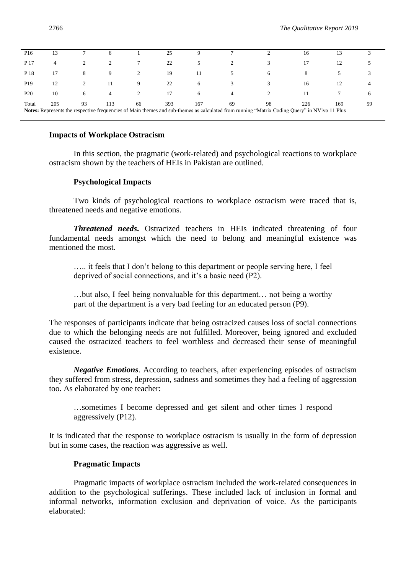| P <sub>16</sub>                                                                                                                                                                                                               |    |   |    |   | 25 |               |   |   | 16 |    |   |
|-------------------------------------------------------------------------------------------------------------------------------------------------------------------------------------------------------------------------------|----|---|----|---|----|---------------|---|---|----|----|---|
| P 17                                                                                                                                                                                                                          | 4  |   |    |   | 22 | $\mathcal{D}$ |   |   | 17 | 12 |   |
| P 18                                                                                                                                                                                                                          | 17 | 8 | 9  |   | 19 |               |   | 6 | 8  |    |   |
| P <sub>19</sub>                                                                                                                                                                                                               | 12 |   | 11 | 9 | 22 | 6             |   |   | 16 | 12 |   |
| P <sub>20</sub>                                                                                                                                                                                                               | 10 | 6 | 4  | 2 | 17 | 6             | 4 |   | 11 |    | 6 |
| 205<br>393<br>98<br>226<br>Total<br>113<br>66<br>69<br>93<br>167<br>169<br>59<br>Notes: Represents the respective frequencies of Main themes and sub-themes as calculated from running "Matrix Coding Query" in NVivo 11 Plus |    |   |    |   |    |               |   |   |    |    |   |

#### **Impacts of Workplace Ostracism**

In this section, the pragmatic (work-related) and psychological reactions to workplace ostracism shown by the teachers of HEIs in Pakistan are outlined.

#### **Psychological Impacts**

Two kinds of psychological reactions to workplace ostracism were traced that is, threatened needs and negative emotions.

*Threatened needs***.** Ostracized teachers in HEIs indicated threatening of four fundamental needs amongst which the need to belong and meaningful existence was mentioned the most.

….. it feels that I don't belong to this department or people serving here, I feel deprived of social connections, and it's a basic need (P2).

…but also, I feel being nonvaluable for this department… not being a worthy part of the department is a very bad feeling for an educated person (P9).

The responses of participants indicate that being ostracized causes loss of social connections due to which the belonging needs are not fulfilled. Moreover, being ignored and excluded caused the ostracized teachers to feel worthless and decreased their sense of meaningful existence.

*Negative Emotions*. According to teachers, after experiencing episodes of ostracism they suffered from stress, depression, sadness and sometimes they had a feeling of aggression too. As elaborated by one teacher:

…sometimes I become depressed and get silent and other times I respond aggressively (P12).

It is indicated that the response to workplace ostracism is usually in the form of depression but in some cases, the reaction was aggressive as well.

#### **Pragmatic Impacts**

Pragmatic impacts of workplace ostracism included the work-related consequences in addition to the psychological sufferings. These included lack of inclusion in formal and informal networks, information exclusion and deprivation of voice. As the participants elaborated: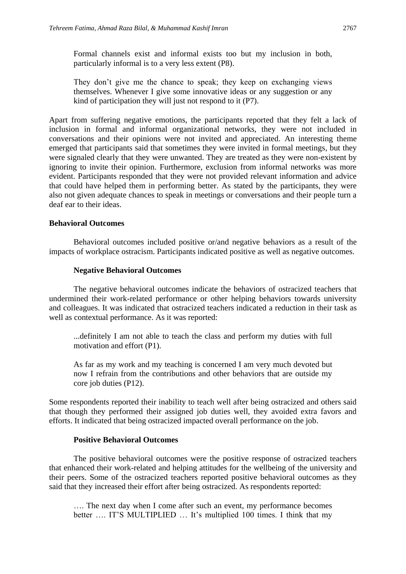Formal channels exist and informal exists too but my inclusion in both, particularly informal is to a very less extent (P8).

They don't give me the chance to speak; they keep on exchanging views themselves. Whenever I give some innovative ideas or any suggestion or any kind of participation they will just not respond to it (P7).

Apart from suffering negative emotions, the participants reported that they felt a lack of inclusion in formal and informal organizational networks, they were not included in conversations and their opinions were not invited and appreciated. An interesting theme emerged that participants said that sometimes they were invited in formal meetings, but they were signaled clearly that they were unwanted. They are treated as they were non-existent by ignoring to invite their opinion. Furthermore, exclusion from informal networks was more evident. Participants responded that they were not provided relevant information and advice that could have helped them in performing better. As stated by the participants, they were also not given adequate chances to speak in meetings or conversations and their people turn a deaf ear to their ideas.

## **Behavioral Outcomes**

Behavioral outcomes included positive or/and negative behaviors as a result of the impacts of workplace ostracism. Participants indicated positive as well as negative outcomes.

#### **Negative Behavioral Outcomes**

The negative behavioral outcomes indicate the behaviors of ostracized teachers that undermined their work-related performance or other helping behaviors towards university and colleagues. It was indicated that ostracized teachers indicated a reduction in their task as well as contextual performance. As it was reported:

...definitely I am not able to teach the class and perform my duties with full motivation and effort (P1).

As far as my work and my teaching is concerned I am very much devoted but now I refrain from the contributions and other behaviors that are outside my core job duties (P12).

Some respondents reported their inability to teach well after being ostracized and others said that though they performed their assigned job duties well, they avoided extra favors and efforts. It indicated that being ostracized impacted overall performance on the job.

#### **Positive Behavioral Outcomes**

The positive behavioral outcomes were the positive response of ostracized teachers that enhanced their work-related and helping attitudes for the wellbeing of the university and their peers. Some of the ostracized teachers reported positive behavioral outcomes as they said that they increased their effort after being ostracized. As respondents reported:

…. The next day when I come after such an event, my performance becomes better …. IT'S MULTIPLIED … It's multiplied 100 times. I think that my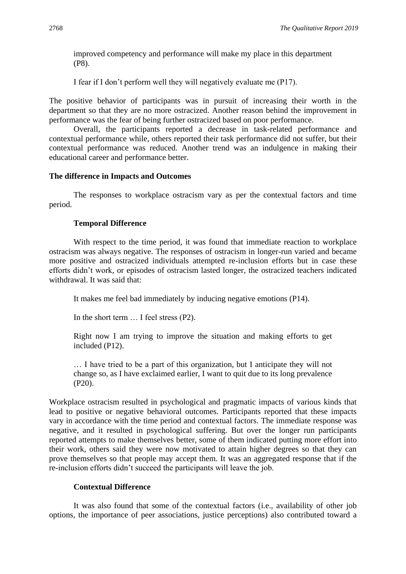improved competency and performance will make my place in this department (P8).

I fear if I don't perform well they will negatively evaluate me (P17).

The positive behavior of participants was in pursuit of increasing their worth in the department so that they are no more ostracized. Another reason behind the improvement in performance was the fear of being further ostracized based on poor performance.

Overall, the participants reported a decrease in task-related performance and contextual performance while, others reported their task performance did not suffer, but their contextual performance was reduced. Another trend was an indulgence in making their educational career and performance better.

## **The difference in Impacts and Outcomes**

The responses to workplace ostracism vary as per the contextual factors and time period.

## **Temporal Difference**

With respect to the time period, it was found that immediate reaction to workplace ostracism was always negative. The responses of ostracism in longer-run varied and became more positive and ostracized individuals attempted re-inclusion efforts but in case these efforts didn't work, or episodes of ostracism lasted longer, the ostracized teachers indicated withdrawal. It was said that:

It makes me feel bad immediately by inducing negative emotions (P14).

In the short term … I feel stress (P2).

Right now I am trying to improve the situation and making efforts to get included (P12).

… I have tried to be a part of this organization, but I anticipate they will not change so, as I have exclaimed earlier, I want to quit due to its long prevalence (P20).

Workplace ostracism resulted in psychological and pragmatic impacts of various kinds that lead to positive or negative behavioral outcomes. Participants reported that these impacts vary in accordance with the time period and contextual factors. The immediate response was negative, and it resulted in psychological suffering. But over the longer run participants reported attempts to make themselves better, some of them indicated putting more effort into their work, others said they were now motivated to attain higher degrees so that they can prove themselves so that people may accept them. It was an aggregated response that if the re-inclusion efforts didn't succeed the participants will leave the job.

## **Contextual Difference**

It was also found that some of the contextual factors (i.e., availability of other job options, the importance of peer associations, justice perceptions) also contributed toward a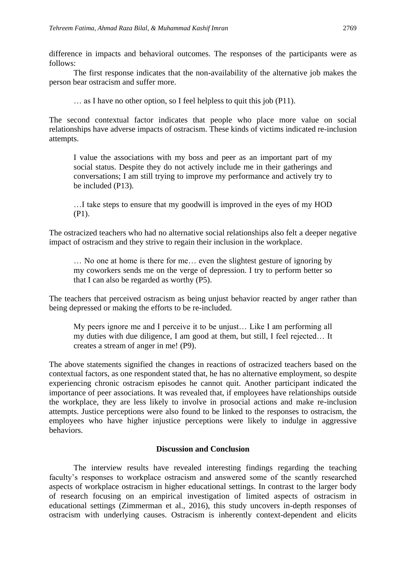difference in impacts and behavioral outcomes. The responses of the participants were as follows:

The first response indicates that the non-availability of the alternative job makes the person bear ostracism and suffer more.

… as I have no other option, so I feel helpless to quit this job (P11).

The second contextual factor indicates that people who place more value on social relationships have adverse impacts of ostracism. These kinds of victims indicated re-inclusion attempts.

I value the associations with my boss and peer as an important part of my social status. Despite they do not actively include me in their gatherings and conversations; I am still trying to improve my performance and actively try to be included (P13).

…I take steps to ensure that my goodwill is improved in the eyes of my HOD (P1).

The ostracized teachers who had no alternative social relationships also felt a deeper negative impact of ostracism and they strive to regain their inclusion in the workplace.

… No one at home is there for me… even the slightest gesture of ignoring by my coworkers sends me on the verge of depression. I try to perform better so that I can also be regarded as worthy (P5).

The teachers that perceived ostracism as being unjust behavior reacted by anger rather than being depressed or making the efforts to be re-included.

My peers ignore me and I perceive it to be unjust… Like I am performing all my duties with due diligence, I am good at them, but still, I feel rejected… It creates a stream of anger in me! (P9).

The above statements signified the changes in reactions of ostracized teachers based on the contextual factors, as one respondent stated that, he has no alternative employment, so despite experiencing chronic ostracism episodes he cannot quit. Another participant indicated the importance of peer associations. It was revealed that, if employees have relationships outside the workplace, they are less likely to involve in prosocial actions and make re-inclusion attempts. Justice perceptions were also found to be linked to the responses to ostracism, the employees who have higher injustice perceptions were likely to indulge in aggressive behaviors.

#### **Discussion and Conclusion**

The interview results have revealed interesting findings regarding the teaching faculty's responses to workplace ostracism and answered some of the scantly researched aspects of workplace ostracism in higher educational settings. In contrast to the larger body of research focusing on an empirical investigation of limited aspects of ostracism in educational settings (Zimmerman et al., 2016), this study uncovers in-depth responses of ostracism with underlying causes. Ostracism is inherently context-dependent and elicits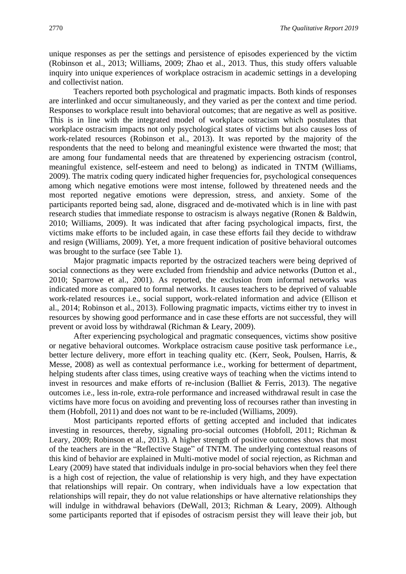unique responses as per the settings and persistence of episodes experienced by the victim (Robinson et al., 2013; Williams, 2009; Zhao et al., 2013. Thus, this study offers valuable inquiry into unique experiences of workplace ostracism in academic settings in a developing and collectivist nation.

Teachers reported both psychological and pragmatic impacts. Both kinds of responses are interlinked and occur simultaneously, and they varied as per the context and time period. Responses to workplace result into behavioral outcomes; that are negative as well as positive. This is in line with the integrated model of workplace ostracism which postulates that workplace ostracism impacts not only psychological states of victims but also causes loss of work-related resources (Robinson et al., 2013). It was reported by the majority of the respondents that the need to belong and meaningful existence were thwarted the most; that are among four fundamental needs that are threatened by experiencing ostracism (control, meaningful existence, self-esteem and need to belong) as indicated in TNTM (Williams, 2009). The matrix coding query indicated higher frequencies for, psychological consequences among which negative emotions were most intense, followed by threatened needs and the most reported negative emotions were depression, stress, and anxiety. Some of the participants reported being sad, alone, disgraced and de-motivated which is in line with past research studies that immediate response to ostracism is always negative (Ronen & Baldwin, 2010; Williams, 2009). It was indicated that after facing psychological impacts, first, the victims make efforts to be included again, in case these efforts fail they decide to withdraw and resign (Williams, 2009). Yet, a more frequent indication of positive behavioral outcomes was brought to the surface (see Table 1).

Major pragmatic impacts reported by the ostracized teachers were being deprived of social connections as they were excluded from friendship and advice networks (Dutton et al., 2010; Sparrowe et al., 2001). As reported, the exclusion from informal networks was indicated more as compared to formal networks. It causes teachers to be deprived of valuable work-related resources i.e., social support, work-related information and advice (Ellison et al., 2014; Robinson et al., 2013). Following pragmatic impacts, victims either try to invest in resources by showing good performance and in case these efforts are not successful, they will prevent or avoid loss by withdrawal (Richman & Leary, 2009).

After experiencing psychological and pragmatic consequences, victims show positive or negative behavioral outcomes. Workplace ostracism cause positive task performance i.e., better lecture delivery, more effort in teaching quality etc. (Kerr, Seok, Poulsen, Harris, & Messe, 2008) as well as contextual performance i.e., working for betterment of department, helping students after class times, using creative ways of teaching when the victims intend to invest in resources and make efforts of re-inclusion (Balliet & Ferris, 2013). The negative outcomes i.e., less in-role, extra-role performance and increased withdrawal result in case the victims have more focus on avoiding and preventing loss of recourses rather than investing in them (Hobfoll, 2011) and does not want to be re-included (Williams, 2009).

Most participants reported efforts of getting accepted and included that indicates investing in resources, thereby, signaling pro-social outcomes (Hobfoll, 2011; Richman  $\&$ Leary, 2009; Robinson et al., 2013). A higher strength of positive outcomes shows that most of the teachers are in the "Reflective Stage" of TNTM. The underlying contextual reasons of this kind of behavior are explained in Multi-motive model of social rejection, as Richman and Leary (2009) have stated that individuals indulge in pro-social behaviors when they feel there is a high cost of rejection, the value of relationship is very high, and they have expectation that relationships will repair. On contrary, when individuals have a low expectation that relationships will repair, they do not value relationships or have alternative relationships they will indulge in withdrawal behaviors (DeWall, 2013; Richman & Leary, 2009). Although some participants reported that if episodes of ostracism persist they will leave their job, but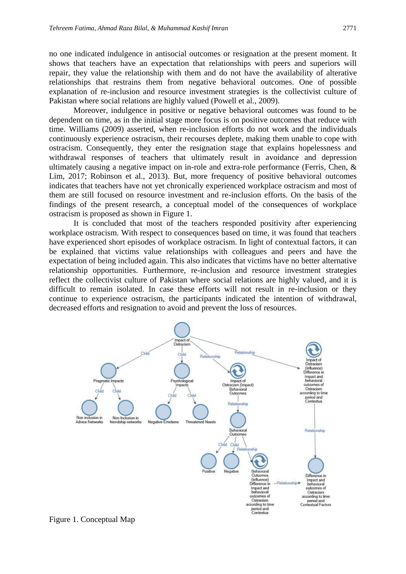no one indicated indulgence in antisocial outcomes or resignation at the present moment. It shows that teachers have an expectation that relationships with peers and superiors will repair, they value the relationship with them and do not have the availability of alterative relationships that restrains them from negative behavioral outcomes. One of possible explanation of re-inclusion and resource investment strategies is the collectivist culture of Pakistan where social relations are highly valued (Powell et al., 2009).

Moreover, indulgence in positive or negative behavioral outcomes was found to be dependent on time, as in the initial stage more focus is on positive outcomes that reduce with time. Williams (2009) asserted, when re-inclusion efforts do not work and the individuals continuously experience ostracism, their recourses deplete, making them unable to cope with ostracism. Consequently, they enter the resignation stage that explains hopelessness and withdrawal responses of teachers that ultimately result in avoidance and depression ultimately causing a negative impact on in-role and extra-role performance (Ferris, Chen, & Lim, 2017; Robinson et al., 2013). But, more frequency of positive behavioral outcomes indicates that teachers have not yet chronically experienced workplace ostracism and most of them are still focused on resource investment and re-inclusion efforts. On the basis of the findings of the present research, a conceptual model of the consequences of workplace ostracism is proposed as shown in Figure 1.

It is concluded that most of the teachers responded positivity after experiencing workplace ostracism. With respect to consequences based on time, it was found that teachers have experienced short episodes of workplace ostracism. In light of contextual factors, it can be explained that victims value relationships with colleagues and peers and have the expectation of being included again. This also indicates that victims have no better alternative relationship opportunities. Furthermore, re-inclusion and resource investment strategies reflect the collectivist culture of Pakistan where social relations are highly valued, and it is difficult to remain isolated. In case these efforts will not result in re-inclusion or they continue to experience ostracism, the participants indicated the intention of withdrawal, decreased efforts and resignation to avoid and prevent the loss of resources.



Figure 1. Conceptual Map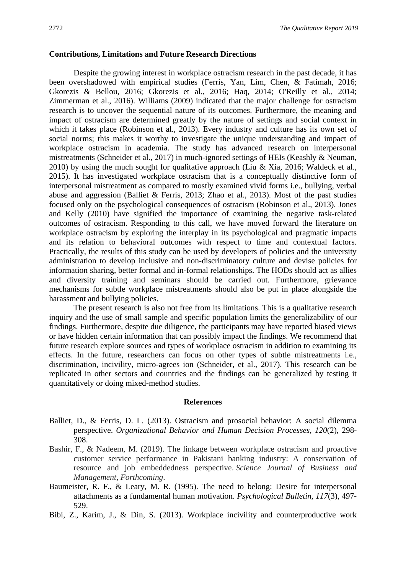## **Contributions, Limitations and Future Research Directions**

Despite the growing interest in workplace ostracism research in the past decade, it has been overshadowed with empirical studies (Ferris, Yan, Lim, Chen, & Fatimah, 2016; Gkorezis & Bellou, 2016; Gkorezis et al., 2016; Haq, 2014; O'Reilly et al*.,* 2014; Zimmerman et al., 2016). Williams (2009) indicated that the major challenge for ostracism research is to uncover the sequential nature of its outcomes. Furthermore, the meaning and impact of ostracism are determined greatly by the nature of settings and social context in which it takes place (Robinson et al., 2013). Every industry and culture has its own set of social norms; this makes it worthy to investigate the unique understanding and impact of workplace ostracism in academia. The study has advanced research on interpersonal mistreatments (Schneider et al., 2017) in much-ignored settings of HEIs (Keashly & Neuman, 2010) by using the much sought for qualitative approach (Liu & Xia, 2016; Waldeck et al., 2015). It has investigated workplace ostracism that is a conceptually distinctive form of interpersonal mistreatment as compared to mostly examined vivid forms i.e., bullying, verbal abuse and aggression (Balliet & Ferris, 2013; Zhao et al., 2013). Most of the past studies focused only on the psychological consequences of ostracism (Robinson et al., 2013). Jones and Kelly (2010) have signified the importance of examining the negative task-related outcomes of ostracism. Responding to this call, we have moved forward the literature on workplace ostracism by exploring the interplay in its psychological and pragmatic impacts and its relation to behavioral outcomes with respect to time and contextual factors. Practically, the results of this study can be used by developers of policies and the university administration to develop inclusive and non-discriminatory culture and devise policies for information sharing, better formal and in-formal relationships. The HODs should act as allies and diversity training and seminars should be carried out. Furthermore, grievance mechanisms for subtle workplace mistreatments should also be put in place alongside the harassment and bullying policies.

The present research is also not free from its limitations. This is a qualitative research inquiry and the use of small sample and specific population limits the generalizability of our findings. Furthermore, despite due diligence, the participants may have reported biased views or have hidden certain information that can possibly impact the findings. We recommend that future research explore sources and types of workplace ostracism in addition to examining its effects. In the future, researchers can focus on other types of subtle mistreatments i.e., discrimination, incivility, micro-agrees ion (Schneider, et al., 2017). This research can be replicated in other sectors and countries and the findings can be generalized by testing it quantitatively or doing mixed-method studies.

#### **References**

- Balliet, D., & Ferris, D. L. (2013). Ostracism and prosocial behavior: A social dilemma perspective. *Organizational Behavior and Human Decision Processes, 120*(2), 298- 308.
- Bashir, F., & Nadeem, M. (2019). The linkage between workplace ostracism and proactive customer service performance in Pakistani banking industry: A conservation of resource and job embeddedness perspective. *Science Journal of Business and Management, Forthcoming*.
- Baumeister, R. F., & Leary, M. R. (1995). The need to belong: Desire for interpersonal attachments as a fundamental human motivation. *Psychological Bulletin, 117*(3), 497- 529.
- Bibi, Z., Karim, J., & Din, S. (2013). Workplace incivility and counterproductive work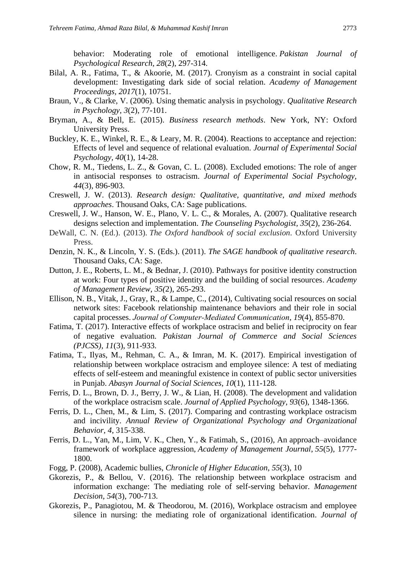behavior: Moderating role of emotional intelligence. *Pakistan Journal of Psychological Research*, *28*(2), 297-314.

- Bilal, A. R., Fatima, T., & Akoorie, M. (2017). Cronyism as a constraint in social capital development: Investigating dark side of social relation. *Academy of Management Proceedings, 2017*(1), 10751.
- Braun, V., & Clarke, V. (2006). Using thematic analysis in psychology. *Qualitative Research in Psychology, 3*(2), 77-101.
- Bryman, A., & Bell, E. (2015). *Business research methods*. New York, NY: Oxford University Press.
- Buckley, K. E., Winkel, R. E., & Leary, M. R. (2004). Reactions to acceptance and rejection: Effects of level and sequence of relational evaluation. *Journal of Experimental Social Psychology, 40*(1), 14-28.
- Chow, R. M., Tiedens, L. Z., & Govan, C. L. (2008). Excluded emotions: The role of anger in antisocial responses to ostracism. *Journal of Experimental Social Psychology, 44*(3), 896-903.
- Creswell, J. W. (2013). *Research design: Qualitative, quantitative, and mixed methods approaches*. Thousand Oaks, CA: Sage publications.
- Creswell, J. W., Hanson, W. E., Plano, V. L. C., & Morales, A. (2007). Qualitative research designs selection and implementation. *The Counseling Psychologist, 35*(2), 236-264.
- DeWall, C. N. (Ed.). (2013). *The Oxford handbook of social exclusion*. Oxford University Press.
- Denzin, N. K., & Lincoln, Y. S. (Eds.). (2011). *The SAGE handbook of qualitative research*. Thousand Oaks, CA: Sage.
- Dutton, J. E., Roberts, L. M., & Bednar, J. (2010). Pathways for positive identity construction at work: Four types of positive identity and the building of social resources. *Academy of Management Review*, *35(*2), 265-293.
- Ellison, N. B., Vitak, J., Gray, R., & Lampe, C., (2014), Cultivating social resources on social network sites: Facebook relationship maintenance behaviors and their role in social capital processes. *Journal of Computer‐Mediated Communication*, *19*(4), 855-870.
- Fatima, T. (2017). Interactive effects of workplace ostracism and belief in reciprocity on fear of negative evaluation. *Pakistan Journal of Commerce and Social Sciences (PJCSS)*, *11*(3), 911-933.
- Fatima, T., Ilyas, M., Rehman, C. A., & Imran, M. K. (2017). Empirical investigation of relationship between workplace ostracism and employee silence: A test of mediating effects of self-esteem and meaningful existence in context of public sector universities in Punjab. *Abasyn Journal of Social Sciences*, *10*(1), 111-128.
- Ferris, D. L., Brown, D. J., Berry, J. W., & Lian, H. (2008). The development and validation of the workplace ostracism scale. *Journal of Applied Psychology, 93*(6), 1348-1366.
- Ferris, D. L., Chen, M., & Lim, S. (2017). Comparing and contrasting workplace ostracism and incivility. *Annual Review of Organizational Psychology and Organizational Behavior*, *4*, 315-338.
- Ferris, D. L., Yan, M., Lim, V. K., Chen, Y., & Fatimah, S., (2016), An approach–avoidance framework of workplace aggression, *Academy of Management Journal*, *55*(5)*,* 1777- 1800.
- Fogg, P. (2008), Academic bullies, *Chronicle of Higher Education*, *55*(3), 10
- Gkorezis, P., & Bellou, V. (2016). The relationship between workplace ostracism and information exchange: The mediating role of self-serving behavior. *Management Decision*, *54*(3), 700-713.
- Gkorezis, P., Panagiotou, M. & Theodorou, M. (2016), Workplace ostracism and employee silence in nursing: the mediating role of organizational identification. *Journal of*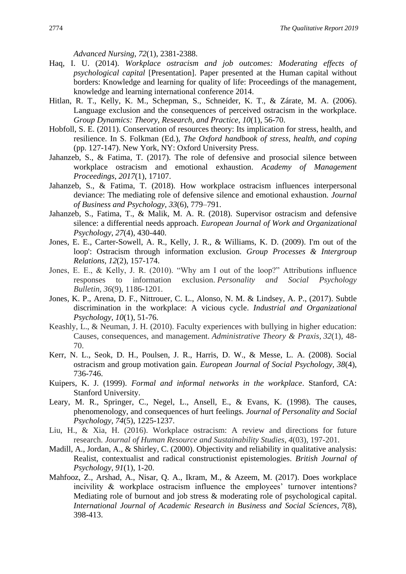*Advanced Nursing*, *72*(1), 2381-2388.

- Haq, I. U. (2014). *Workplace ostracism and job outcomes: Moderating effects of psychological capital* [Presentation]. Paper presented at the Human capital without borders: Knowledge and learning for quality of life: Proceedings of the management, knowledge and learning international conference 2014.
- Hitlan, R. T., Kelly, K. M., Schepman, S., Schneider, K. T., & Zárate, M. A. (2006). Language exclusion and the consequences of perceived ostracism in the workplace. *Group Dynamics: Theory, Research, and Practice, 10*(1), 56-70.
- Hobfoll, S. E. (2011). Conservation of resources theory: Its implication for stress, health, and resilience. In S. Folkman (Ed.), *The Oxford handbook of stress, health, and coping* (pp. 127-147). New York, NY: Oxford University Press.
- Jahanzeb, S., & Fatima, T. (2017). The role of defensive and prosocial silence between workplace ostracism and emotional exhaustion. *Academy of Management Proceedings, 2017*(1), 17107.
- Jahanzeb, S., & Fatima, T. (2018). How workplace ostracism influences interpersonal deviance: The mediating role of defensive silence and emotional exhaustion. *Journal of Business and Psychology*, *33*(6), 779–791.
- Jahanzeb, S., Fatima, T., & Malik, M. A. R. (2018). Supervisor ostracism and defensive silence: a differential needs approach. *European Journal of Work and Organizational Psychology*, *27*(4), 430-440.
- Jones, E. E., Carter-Sowell, A. R., Kelly, J. R., & Williams, K. D. (2009). I'm out of the loop': Ostracism through information exclusion. *Group Processes & Intergroup Relations, 12*(2), 157-174.
- Jones, E. E., & Kelly, J. R. (2010). "Why am I out of the loop?" Attributions influence responses to information exclusion. *Personality and Social Psychology Bulletin*, *36*(9), 1186-1201.
- Jones, K. P., Arena, D. F., Nittrouer, C. L., Alonso, N. M. & Lindsey, A. P., (2017). Subtle discrimination in the workplace: A vicious cycle. *Industrial and Organizational Psychology*, *10*(1), 51-76.
- Keashly, L., & Neuman, J. H. (2010). Faculty experiences with bullying in higher education: Causes, consequences, and management. *Administrative Theory & Praxis*, *32*(1), 48- 70.
- Kerr, N. L., Seok, D. H., Poulsen, J. R., Harris, D. W., & Messe, L. A. (2008). Social ostracism and group motivation gain. *European Journal of Social Psychology, 38*(4), 736-746.
- Kuipers, K. J. (1999). *Formal and informal networks in the workplace*. Stanford, CA: Stanford University.
- Leary, M. R., Springer, C., Negel, L., Ansell, E., & Evans, K. (1998). The causes, phenomenology, and consequences of hurt feelings. *Journal of Personality and Social Psychology, 74*(5), 1225-1237.
- Liu, H., & Xia, H. (2016). Workplace ostracism: A review and directions for future research. *Journal of Human Resource and Sustainability Studies*, *4*(03), 197-201.
- Madill, A., Jordan, A., & Shirley, C. (2000). Objectivity and reliability in qualitative analysis: Realist, contextualist and radical constructionist epistemologies. *British Journal of Psychology, 91*(1), 1-20.
- Mahfooz, Z., Arshad, A., Nisar, Q. A., Ikram, M., & Azeem, M. (2017). Does workplace incivility & workplace ostracism influence the employees' turnover intentions? Mediating role of burnout and job stress & moderating role of psychological capital. *International Journal of Academic Research in Business and Social Sciences*, *7*(8), 398-413.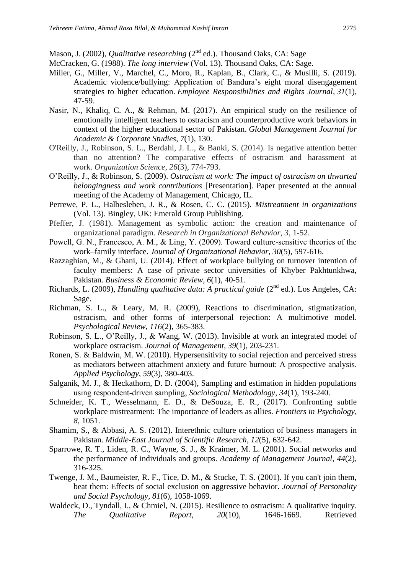Mason, J. (2002), *Qualitative researching* (2<sup>nd</sup> ed.). Thousand Oaks, CA: Sage

- McCracken, G. (1988). *The long interview* (Vol. 13). Thousand Oaks, CA: Sage.
- Miller, G., Miller, V., Marchel, C., Moro, R., Kaplan, B., Clark, C., & Musilli, S. (2019). Academic violence/bullying: Application of Bandura's eight moral disengagement strategies to higher education. *Employee Responsibilities and Rights Journal*, *31*(1), 47-59.
- Nasir, N., Khaliq, C. A., & Rehman, M. (2017). An empirical study on the resilience of emotionally intelligent teachers to ostracism and counterproductive work behaviors in context of the higher educational sector of Pakistan. *Global Management Journal for Academic & Corporate Studies*, *7*(1), 130.
- O'Reilly, J., Robinson, S. L., Berdahl, J. L., & Banki, S. (2014). Is negative attention better than no attention? The comparative effects of ostracism and harassment at work. *Organization Science*, *26*(3), 774-793.
- O'Reilly, J., & Robinson, S. (2009). *Ostracism at work: The impact of ostracism on thwarted belongingness and work contributions* [Presentation]. Paper presented at the annual meeting of the Academy of Management, Chicago, IL.
- Perrewe, P. L., Halbesleben, J. R., & Rosen, C. C. (2015). *Mistreatment in organizations* (Vol. 13). Bingley, UK: Emerald Group Publishing.
- Pfeffer, J. (1981). Management as symbolic action: the creation and maintenance of organizational paradigm. *Research in Organizational Behavior*, *3*, 1-52.
- Powell, G. N., Francesco, A. M., & Ling, Y. (2009). Toward culture‐sensitive theories of the work–family interface. *Journal of Organizational Behavior, 30*(5), 597-616.
- Razzaghian, M., & Ghani, U. (2014). Effect of workplace bullying on turnover intention of faculty members: A case of private sector universities of Khyber Pakhtunkhwa, Pakistan. *Business & Economic Review*, *6*(1), 40-51.
- Richards, L. (2009), *Handling qualitative data: A practical guide* (2<sup>nd</sup> ed.). Los Angeles, CA: Sage.
- Richman, S. L., & Leary, M. R. (2009), Reactions to discrimination, stigmatization, ostracism, and other forms of interpersonal rejection: A multimotive model. *Psychological Review, 116*(2), 365-383.
- Robinson, S. L., O'Reilly, J., & Wang, W. (2013). Invisible at work an integrated model of workplace ostracism. *Journal of Management*, *39*(1), 203-231.
- Ronen, S. & Baldwin, M. W. (2010). Hypersensitivity to social rejection and perceived stress as mediators between attachment anxiety and future burnout: A prospective analysis. *Applied Psychology*, *59*(3), 380-403.
- Salganik, M. J., & Heckathorn, D. D. (2004), Sampling and estimation in hidden populations using respondent‐driven sampling, *Sociological Methodology*, *34*(1), 193-240.
- Schneider, K. T., Wesselmann, E. D., & DeSouza, E. R., (2017). Confronting subtle workplace mistreatment: The importance of leaders as allies. *Frontiers in Psychology, 8*, 1051.
- Shamim, S., & Abbasi, A. S. (2012). Interethnic culture orientation of business managers in Pakistan. *Middle-East Journal of Scientific Research, 12*(5), 632-642.
- Sparrowe, R. T., Liden, R. C., Wayne, S. J., & Kraimer, M. L. (2001). Social networks and the performance of individuals and groups. *Academy of Management Journal, 44*(2), 316-325.
- Twenge, J. M., Baumeister, R. F., Tice, D. M., & Stucke, T. S. (2001). If you can't join them, beat them: Effects of social exclusion on aggressive behavior. *Journal of Personality and Social Psychology, 81*(6), 1058-1069.
- Waldeck, D., Tyndall, I., & Chmiel, N. (2015). Resilience to ostracism: A qualitative inquiry. *The Qualitative Report, 20*(10), 1646-1669. Retrieved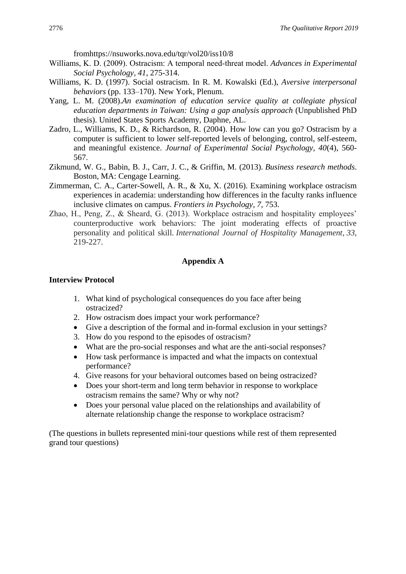fromhttps://nsuworks.nova.edu/tqr/vol20/iss10/8

- Williams, K. D. (2009). Ostracism: A temporal need‐threat model. *Advances in Experimental Social Psychology, 41*, 275-314.
- Williams, K. D. (1997). Social ostracism. In R. M. Kowalski (Ed.), *Aversive interpersonal behaviors* (pp. 133–170). New York, Plenum.
- Yang, L. M. (2008).*An examination of education service quality at collegiate physical education departments in Taiwan: Using a gap analysis approach* (Unpublished PhD thesis). United States Sports Academy, Daphne, AL.
- Zadro, L., Williams, K. D., & Richardson, R. (2004). How low can you go? Ostracism by a computer is sufficient to lower self-reported levels of belonging, control, self-esteem, and meaningful existence. *Journal of Experimental Social Psychology, 40*(4), 560- 567.
- Zikmund, W. G., Babin, B. J., Carr, J. C., & Griffin, M. (2013). *Business research methods*. Boston, MA: Cengage Learning.
- Zimmerman, C. A., Carter-Sowell, A. R., & Xu, X. (2016). Examining workplace ostracism experiences in academia: understanding how differences in the faculty ranks influence inclusive climates on campus. *Frontiers in Psychology*, *7*, 753.
- Zhao, H., Peng, Z., & Sheard, G. (2013). Workplace ostracism and hospitality employees' counterproductive work behaviors: The joint moderating effects of proactive personality and political skill. *International Journal of Hospitality Management*, *33*, 219-227.

## **Appendix A**

## **Interview Protocol**

- 1. What kind of psychological consequences do you face after being ostracized?
- 2. How ostracism does impact your work performance?
- Give a description of the formal and in-formal exclusion in your settings?
- 3. How do you respond to the episodes of ostracism?
- What are the pro-social responses and what are the anti-social responses?
- How task performance is impacted and what the impacts on contextual performance?
- 4. Give reasons for your behavioral outcomes based on being ostracized?
- Does your short-term and long term behavior in response to workplace ostracism remains the same? Why or why not?
- Does your personal value placed on the relationships and availability of alternate relationship change the response to workplace ostracism?

(The questions in bullets represented mini-tour questions while rest of them represented grand tour questions)